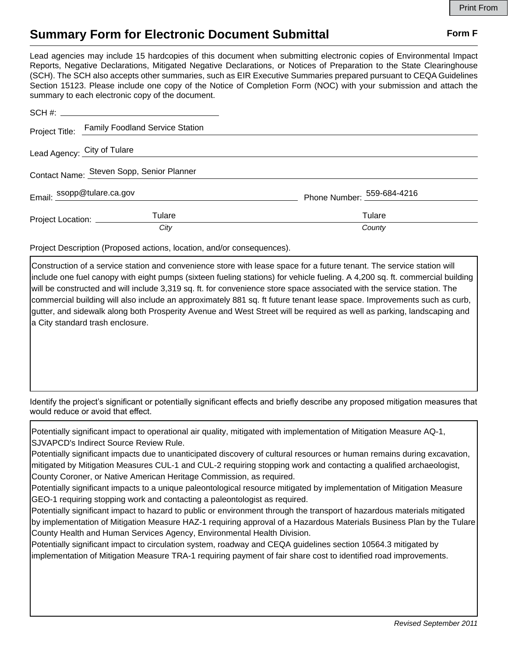## **Summary Form for Electronic Document Submittal Form F Form F**

Lead agencies may include 15 hardcopies of this document when submitting electronic copies of Environmental Impact Reports, Negative Declarations, Mitigated Negative Declarations, or Notices of Preparation to the State Clearinghouse (SCH). The SCH also accepts other summaries, such as EIR Executive Summaries prepared pursuant to CEQA Guidelines Section 15123. Please include one copy of the Notice of Completion Form (NOC) with your submission and attach the summary to each electronic copy of the document.

|                                           | Project Title: Family Foodland Service Station |                            |
|-------------------------------------------|------------------------------------------------|----------------------------|
| Lead Agency: City of Tulare               |                                                |                            |
| Contact Name: Steven Sopp, Senior Planner |                                                |                            |
| Email: ssopp@tulare.ca.gov                |                                                | Phone Number: 559-684-4216 |
| Project Location: _____________           | Tulare                                         | Tulare                     |
|                                           | City                                           | County                     |

Project Description (Proposed actions, location, and/or consequences).

Construction of a service station and convenience store with lease space for a future tenant. The service station will include one fuel canopy with eight pumps (sixteen fueling stations) for vehicle fueling. A 4,200 sq. ft. commercial building will be constructed and will include 3,319 sq. ft. for convenience store space associated with the service station. The commercial building will also include an approximately 881 sq. ft future tenant lease space. Improvements such as curb, gutter, and sidewalk along both Prosperity Avenue and West Street will be required as well as parking, landscaping and a City standard trash enclosure.

Identify the project's significant or potentially significant effects and briefly describe any proposed mitigation measures that would reduce or avoid that effect.

Potentially significant impact to operational air quality, mitigated with implementation of Mitigation Measure AQ-1, SJVAPCD's Indirect Source Review Rule.

Potentially significant impacts due to unanticipated discovery of cultural resources or human remains during excavation, mitigated by Mitigation Measures CUL-1 and CUL-2 requiring stopping work and contacting a qualified archaeologist, County Coroner, or Native American Heritage Commission, as required.

Potentially significant impacts to a unique paleontological resource mitigated by implementation of Mitigation Measure GEO-1 requiring stopping work and contacting a paleontologist as required.

Potentially significant impact to hazard to public or environment through the transport of hazardous materials mitigated by implementation of Mitigation Measure HAZ-1 requiring approval of a Hazardous Materials Business Plan by the Tulare County Health and Human Services Agency, Environmental Health Division.

Potentially significant impact to circulation system, roadway and CEQA guidelines section 10564.3 mitigated by implementation of Mitigation Measure TRA-1 requiring payment of fair share cost to identified road improvements.